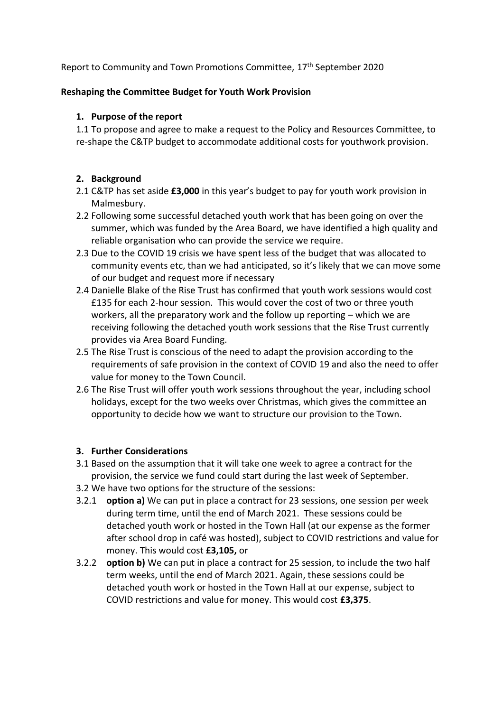Report to Community and Town Promotions Committee, 17<sup>th</sup> September 2020

### **Reshaping the Committee Budget for Youth Work Provision**

#### **1. Purpose of the report**

1.1 To propose and agree to make a request to the Policy and Resources Committee, to re-shape the C&TP budget to accommodate additional costs for youthwork provision.

### **2. Background**

- 2.1 C&TP has set aside **£3,000** in this year's budget to pay for youth work provision in Malmesbury.
- 2.2 Following some successful detached youth work that has been going on over the summer, which was funded by the Area Board, we have identified a high quality and reliable organisation who can provide the service we require.
- 2.3 Due to the COVID 19 crisis we have spent less of the budget that was allocated to community events etc, than we had anticipated, so it's likely that we can move some of our budget and request more if necessary
- 2.4 Danielle Blake of the Rise Trust has confirmed that youth work sessions would cost £135 for each 2-hour session. This would cover the cost of two or three youth workers, all the preparatory work and the follow up reporting – which we are receiving following the detached youth work sessions that the Rise Trust currently provides via Area Board Funding.
- 2.5 The Rise Trust is conscious of the need to adapt the provision according to the requirements of safe provision in the context of COVID 19 and also the need to offer value for money to the Town Council.
- 2.6 The Rise Trust will offer youth work sessions throughout the year, including school holidays, except for the two weeks over Christmas, which gives the committee an opportunity to decide how we want to structure our provision to the Town.

### **3. Further Considerations**

- 3.1 Based on the assumption that it will take one week to agree a contract for the provision, the service we fund could start during the last week of September.
- 3.2 We have two options for the structure of the sessions:
- 3.2.1 **option a)** We can put in place a contract for 23 sessions, one session per week during term time, until the end of March 2021. These sessions could be detached youth work or hosted in the Town Hall (at our expense as the former after school drop in café was hosted), subject to COVID restrictions and value for money. This would cost **£3,105,** or
- 3.2.2 **option b)** We can put in place a contract for 25 session, to include the two half term weeks, until the end of March 2021. Again, these sessions could be detached youth work or hosted in the Town Hall at our expense, subject to COVID restrictions and value for money. This would cost **£3,375**.